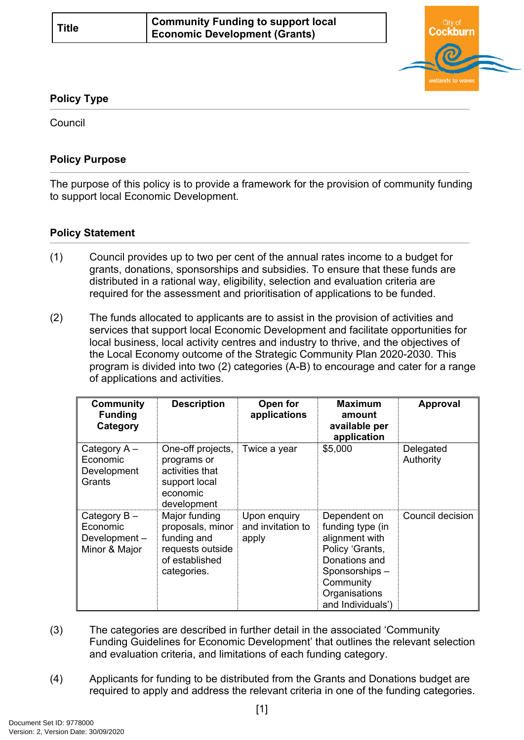

## **Policy Type**

Council

## **Policy Purpose**

The purpose of this policy is to provide a framework for the provision of community funding to support local Economic Development.

## **[Policy Statement](#page-0-0)**

- <span id="page-0-0"></span>(1) Council provides up to two per cent of the annual rates income to a budget for grants, donations, sponsorships and subsidies. To ensure that these funds are distributed in a rational way, eligibility, selection and evaluation criteria are required for the assessment and prioritisation of applications to be funded.
- (2) The funds allocated to applicants are to assist in the provision of activities and services that support local Economic Development and facilitate opportunities for local business, local activity centres and industry to thrive, and the objectives of the Local Economy outcome of the Strategic Community Plan 2020-2030. This program is divided into two (2) categories (A-B) to encourage and cater for a range of applications and activities.

| <b>Community</b><br><b>Funding</b><br>Category              | <b>Description</b>                                                                                    | Open for<br>applications                   | <b>Maximum</b><br>amount<br>available per<br>application                                                                                                   | Approval               |
|-------------------------------------------------------------|-------------------------------------------------------------------------------------------------------|--------------------------------------------|------------------------------------------------------------------------------------------------------------------------------------------------------------|------------------------|
| Category A -<br>Economic<br>Development<br>Grants           | One-off projects,<br>programs or<br>activities that<br>support local<br>economic<br>development       | Twice a year                               | \$5,000                                                                                                                                                    | Delegated<br>Authority |
| Category $B -$<br>Economic<br>Development-<br>Minor & Major | Major funding<br>proposals, minor<br>funding and<br>requests outside<br>of established<br>categories. | Upon enquiry<br>and invitation to<br>apply | Dependent on<br>funding type (in<br>alignment with<br>Policy 'Grants,<br>Donations and<br>Sponsorships-<br>Community<br>Organisations<br>and Individuals') | Council decision       |

- (3) The categories are described in further detail in the associated 'Community Funding Guidelines for Economic Development' that outlines the relevant selection and evaluation criteria, and limitations of each funding category.
- (4) Applicants for funding to be distributed from the Grants and Donations budget are required to apply and address the relevant criteria in one of the funding categories.